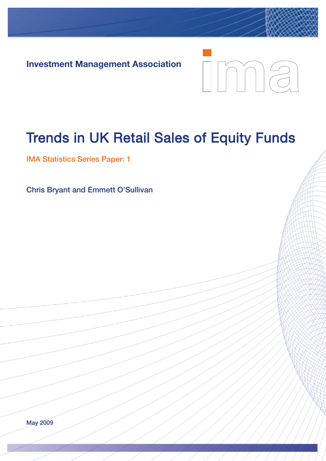**Investment Management Association**



# Trends in UK Retail Sales of Equity Funds

**IMA Statistics Series Paper: 1**

**Chris Bryant and Emmett O'Sullivan**

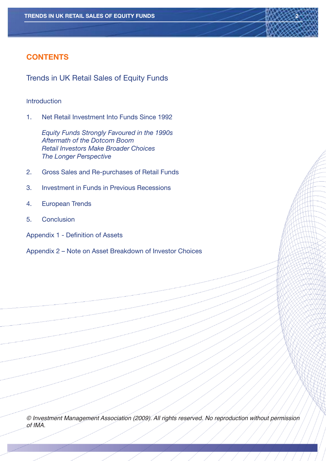## **CONTENTS**

Trends in UK Retail Sales of Equity Funds

#### Introduction

1. Net Retail Investment Into Funds Since 1992

*Equity Funds Strongly Favoured in the 1990s Aftermath of the Dotcom Boom Retail Investors Make Broader Choices The Longer Perspective*

- 2. Gross Sales and Re-purchases of Retail Funds
- 3. Investment in Funds in Previous Recessions
- 4. European Trends
- 5. Conclusion
- Appendix 1 Definition of Assets
- Appendix 2 Note on Asset Breakdown of Investor Choices

© Investment Management Association (2009). All rights reserved. No reproduction without permission of IMA.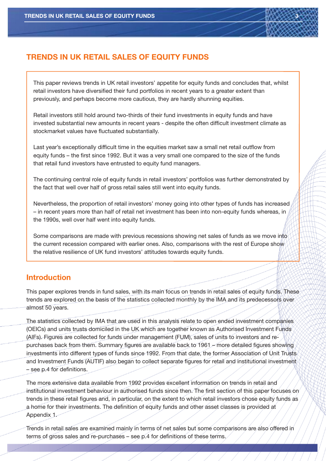

This paper reviews trends in UK retail investors' appetite for equity funds and concludes that, whilst retail investors have diversified their fund portfolios in recent years to a greater extent than previously, and perhaps become more cautious, they are hardly shunning equities.

Retail investors still hold around two-thirds of their fund investments in equity funds and have invested substantial new amounts in recent years - despite the often difficult investment climate as stockmarket values have fluctuated substantially.

Last year's exceptionally difficult time in the equities market saw a small net retail outflow from equity funds – the first since 1992. But it was a very small one compared to the size of the funds that retail fund investors have entrusted to equity fund managers.

The continuing central role of equity funds in retail investors' portfolios was further demonstrated by the fact that well over half of gross retail sales still went into equity funds.

Nevertheless, the proportion of retail investors' money going into other types of funds has increased – in recent years more than half of retail net investment has been into non-equity funds whereas, in the 1990s, well over half went into equity funds.

Some comparisons are made with previous recessions showing net sales of funds as we move into the current recession compared with earlier ones. Also, comparisons with the rest of Europe show the relative resilience of UK fund investors' attitudes towards equity funds.

## **Introduction**

This paper explores trends in fund sales, with its main focus on trends in retail sales of equity funds. These trends are explored on the basis of the statistics collected monthly by the IMA and its predecessors over almost 50 years.

The statistics collected by IMA that are used in this analysis relate to open ended investment companies (OEICs) and units trusts domiciled in the UK which are together known as Authorised Investment Funds (AIFs). Figures are collected for funds under management (FUM), sales of units to investors and repurchases back from them. Summary figures are available back to 1961 – more detailed figures showing investments into different types of funds since 1992. From that date, the former Association of Unit Trusts and Investment Funds (AUTIF) also began to collect separate figures for retail and institutional investment – see p.4 for definitions.

The more extensive data available from 1992 provides excellent information on trends in retail and institutional investment behaviour in authorised funds since then. The first section of this paper focuses on trends in these retail figures and, in particular, on the extent to which retail investors chose equity funds as a home for their investments. The definition of equity funds and other asset classes is provided at Appendix 1.

Trends in retail sales are examined mainly in terms of net sales but some comparisons are also offered in terms of gross sales and re-purchases – see p.4 for definitions of these terms.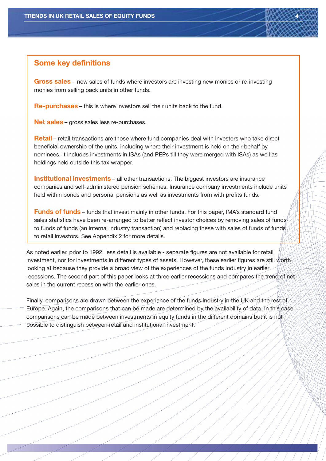#### **Some key definitions**

**Gross sales** – new sales of funds where investors are investing new monies or re-investing monies from selling back units in other funds.

**Re-purchases** – this is where investors sell their units back to the fund.

**Net sales** – gross sales less re-purchases.

**Retail** – retail transactions are those where fund companies deal with investors who take direct beneficial ownership of the units, including where their investment is held on their behalf by nominees. It includes investments in ISAs (and PEPs till they were merged with ISAs) as well as holdings held outside this tax wrapper.

**Institutional investments** – all other transactions. The biggest investors are insurance companies and self-administered pension schemes. Insurance company investments include units held within bonds and personal pensions as well as investments from with profits funds.

**Funds of funds** – funds that invest mainly in other funds. For this paper, IMA's standard fund sales statistics have been re-arranged to better reflect investor choices by removing sales of funds to funds of funds (an internal industry transaction) and replacing these with sales of funds of funds to retail investors. See Appendix 2 for more details.

As noted earlier, prior to 1992, less detail is available - separate figures are not available for retail investment, nor for investments in different types of assets. However, these earlier figures are still worth looking at because they provide a broad view of the experiences of the funds industry in earlier recessions. The second part of this paper looks at three earlier recessions and compares the trend of net sales in the current recession with the earlier ones.

Finally, comparisons are drawn between the experience of the funds industry in the UK and the rest of Europe. Again, the comparisons that can be made are determined by the availability of data. In this case, comparisons can be made between investments in equity funds in the different domains but it is not possible to distinguish between retail and institutional investment.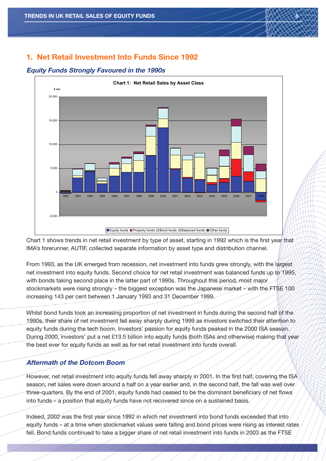# **1. Net Retail Investment Into Funds Since 1992**

#### **Equity Funds Strongly Favoured in the 1990s**



Chart 1 shows trends in net retail investment by type of asset, starting in 1992 which is the first year that IMA's forerunner, AUTIF, collected separate information by asset type and distribution channel.

From 1993, as the UK emerged from recession, net investment into funds grew strongly, with the largest net investment into equity funds. Second choice for net retail investment was balanced funds up to 1995, with bonds taking second place in the latter part of 1990s. Throughout this period, most major stockmarkets were rising strongly – the biggest exception was the Japanese market – with the FTSE 100 increasing 143 per cent between 1 January 1993 and 31 December 1999.

Whilst bond funds took an increasing proportion of net investment in funds during the second half of the 1990s, their share of net investment fell away sharply during 1999 as investors switched their attention to equity funds during the tech boom. Investors' passion for equity funds peaked in the 2000 ISA season. During 2000, investors' put a net £13.5 billion into equity funds (both ISAs and otherwise) making that year the best ever for equity funds as well as for net retail investment into funds overall.

## **Aftermath of the Dotcom Boom**

However, net retail investment into equity funds fell away sharply in 2001. In the first half, covering the ISA season, net sales were down around a half on a year earlier and, in the second half, the fall was well over three-quarters. By the end of 2001, equity funds had ceased to be the dominant beneficiary of net flows into funds – a position that equity funds have not recovered since on a sustained basis.

Indeed, 2002 was the first year since 1992 in which net investment into bond funds exceeded that into equity funds – at a time when stockmarket values were falling and bond prices were rising as interest rates fell. Bond funds continued to take a bigger share of net retail investment into funds in 2003 as the FTSE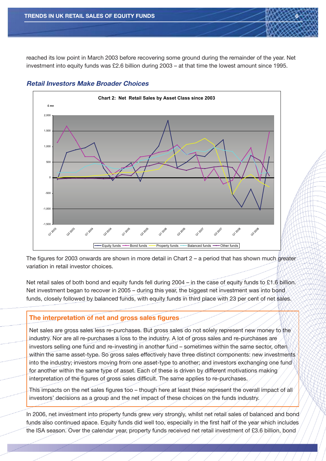reached its low point in March 2003 before recovering some ground during the remainder of the year. Net investment into equity funds was £2.6 billion during 2003 – at that time the lowest amount since 1995.



#### **Retail Investors Make Broader Choices**

The figures for 2003 onwards are shown in more detail in Chart 2 – a period that has shown much greater variation in retail investor choices.

Net retail sales of both bond and equity funds fell during 2004 – in the case of equity funds to £1.6 billion. Net investment began to recover in 2005 – during this year, the biggest net investment was into bond funds, closely followed by balanced funds, with equity funds in third place with 23 per cent of net sales.

## **The interpretation of net and gross sales figures**

Net sales are gross sales less re-purchases. But gross sales do not solely represent new money to the industry. Nor are all re-purchases a loss to the industry. A lot of gross sales and re-purchases are investors selling one fund and re-investing in another fund – sometimes within the same sector, often within the same asset-type. So gross sales effectively have three distinct components: new investments into the industry; investors moving from one asset-type to another; and investors exchanging one fund for another within the same type of asset. Each of these is driven by different motivations making interpretation of the figures of gross sales difficult. The same applies to re-purchases.

This impacts on the net sales figures too – though here at least these represent the overall impact of all investors' decisions as a group and the net impact of these choices on the funds industry.

In 2006, net investment into property funds grew very strongly, whilst net retail sales of balanced and bond funds also continued apace. Equity funds did well too, especially in the first half of the year which includes the ISA season. Over the calendar year, property funds received net retail investment of £3.6 billion, bond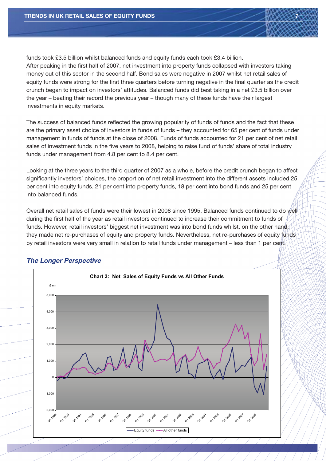funds took £3.5 billion whilst balanced funds and equity funds each took £3.4 billion. After peaking in the first half of 2007, net investment into property funds collapsed with investors taking money out of this sector in the second half. Bond sales were negative in 2007 whilst net retail sales of equity funds were strong for the first three quarters before turning negative in the final quarter as the credit crunch began to impact on investors' attitudes. Balanced funds did best taking in a net £3.5 billion over the year – beating their record the previous year – though many of these funds have their largest investments in equity markets.

The success of balanced funds reflected the growing popularity of funds of funds and the fact that these are the primary asset choice of investors in funds of funds – they accounted for 65 per cent of funds under management in funds of funds at the close of 2008. Funds of funds accounted for 21 per cent of net retail sales of investment funds in the five years to 2008, helping to raise fund of funds' share of total industry funds under management from 4.8 per cent to 8.4 per cent.

Looking at the three years to the third quarter of 2007 as a whole, before the credit crunch began to affect significantly investors' choices, the proportion of net retail investment into the different assets included 25 per cent into equity funds, 21 per cent into property funds, 18 per cent into bond funds and 25 per cent into balanced funds.

Overall net retail sales of funds were their lowest in 2008 since 1995. Balanced funds continued to do well during the first half of the year as retail investors continued to increase their commitment to funds of funds. However, retail investors' biggest net investment was into bond funds whilst, on the other hand, they made net re-purchases of equity and property funds. Nevertheless, net re-purchases of equity funds by retail investors were very small in relation to retail funds under management – less than 1 per cent.



## **The Longer Perspective**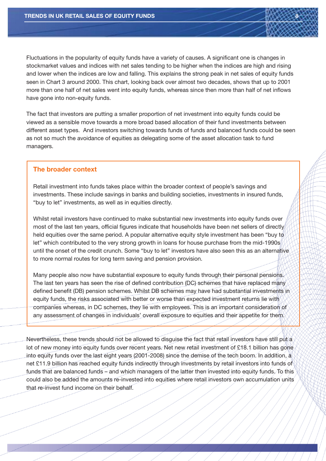Fluctuations in the popularity of equity funds have a variety of causes. A significant one is changes in stockmarket values and indices with net sales tending to be higher when the indices are high and rising and lower when the indices are low and falling. This explains the strong peak in net sales of equity funds seen in Chart 3 around 2000. This chart, looking back over almost two decades, shows that up to 2001 more than one half of net sales went into equity funds, whereas since then more than half of net inflows have gone into non-equity funds.

The fact that investors are putting a smaller proportion of net investment into equity funds could be viewed as a sensible move towards a more broad based allocation of their fund investments between different asset types. And investors switching towards funds of funds and balanced funds could be seen as not so much the avoidance of equities as delegating some of the asset allocation task to fund managers.

#### **The broader context**

Retail investment into funds takes place within the broader context of people's savings and investments. These include savings in banks and building societies, investments in insured funds, "buy to let" investments, as well as in equities directly.

Whilst retail investors have continued to make substantial new investments into equity funds over most of the last ten years, official figures indicate that households have been net sellers of directly held equities over the same period. A popular alternative equity style investment has been "buy to" let" which contributed to the very strong growth in loans for house purchase from the mid-1990s until the onset of the credit crunch. Some "buy to let" investors have also seen this as an alternative to more normal routes for long term saving and pension provision.

Many people also now have substantial exposure to equity funds through their personal pensions. The last ten years has seen the rise of defined contribution (DC) schemes that have replaced many defined benefit (DB) pension schemes. Whilst DB schemes may have had substantial investments in equity funds, the risks associated with better or worse than expected investment returns lie with companies whereas, in DC schemes, they lie with employees. This is an important consideration of any assessment of changes in individuals' overall exposure to equities and their appetite for them.

Nevertheless, these trends should not be allowed to disguise the fact that retail investors have still put a lot of new money into equity funds over recent years. Net new retail investment of £18.1 billion has gone into equity funds over the last eight years (2001-2008) since the demise of the tech boom. In addition, a net £11.9 billion has reached equity funds indirectly through investments by retail investors into funds of funds that are balanced funds – and which managers of the latter then invested into equity funds. To this could also be added the amounts re-invested into equities where retail investors own accumulation units that re-invest fund income on their behalf.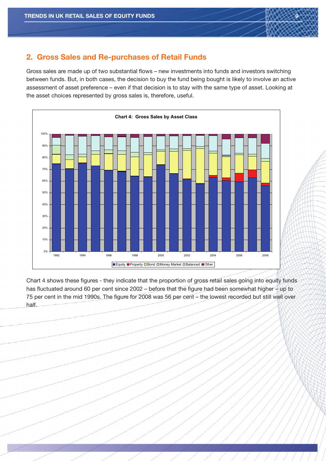

Gross sales are made up of two substantial flows – new investments into funds and investors switching between funds. But, in both cases, the decision to buy the fund being bought is likely to involve an active assessment of asset preference – even if that decision is to stay with the same type of asset. Looking at the asset choices represented by gross sales is, therefore, useful.



Chart 4 shows these figures - they indicate that the proportion of gross retail sales going into equity funds has fluctuated around 60 per cent since 2002 – before that the figure had been somewhat higher – up to 75 per cent in the mid 1990s. The figure for 2008 was 56 per cent – the lowest recorded but still well over half.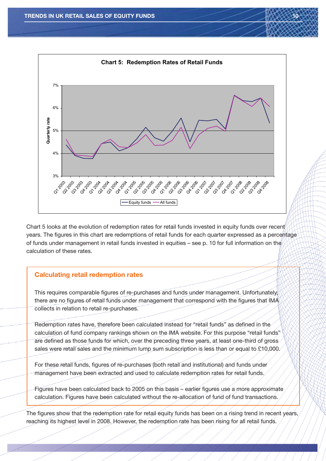

Chart 5 looks at the evolution of redemption rates for retail funds invested in equity funds over recent years. The figures in this chart are redemptions of retail funds for each quarter expressed as a percentage of funds under management in retail funds invested in equities – see p. 10 for full information on the calculation of these rates.

## **Calculating retail redemption rates**

This requires comparable figures of re-purchases and funds under management. Unfortunately, there are no figures of retail funds under management that correspond with the figures that IMA collects in relation to retail re-purchases.

Redemption rates have, therefore been calculated instead for "retail funds" as defined in the calculation of fund company rankings shown on the IMA website. For this purpose "retail funds" are defined as those funds for which, over the preceding three years, at least one-third of gross sales were retail sales and the minimum lump sum subscription is less than or equal to £10,000.

For these retail funds, figures of re-purchases (both retail and institutional) and funds under management have been extracted and used to calculate redemption rates for retail funds.

Figures have been calculated back to 2005 on this basis – earlier figures use a more approximate calculation. Figures have been calculated without the re-allocation of fund of fund transactions.

The figures show that the redemption rate for retail equity funds has been on a rising trend in recent years, reaching its highest level in 2008. However, the redemption rate has been rising for all retail funds.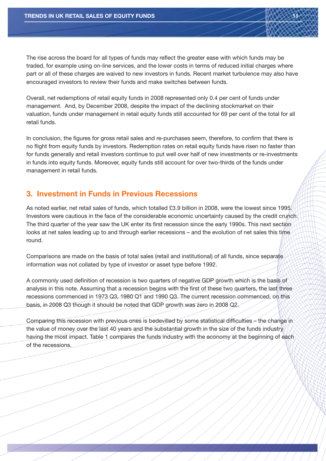The rise across the board for all types of funds may reflect the greater ease with which funds may be traded, for example using on-line services, and the lower costs in terms of reduced initial charges where part or all of these charges are waived to new investors in funds. Recent market turbulence may also have encouraged investors to review their funds and make switches between funds.

Overall, net redemptions of retail equity funds in 2008 represented only 0.4 per cent of funds under management. And, by December 2008, despite the impact of the declining stockmarket on their valuation, funds under management in retail equity funds still accounted for 69 per cent of the total for all retail funds.

In conclusion, the figures for gross retail sales and re-purchases seem, therefore, to confirm that there is no flight from equity funds by investors. Redemption rates on retail equity funds have risen no faster than for funds generally and retail investors continue to put well over half of new investments or re-investments in funds into equity funds. Moreover, equity funds still account for over two-thirds of the funds under management in retail funds.

## **3. Investment in Funds in Previous Recessions**

As noted earlier, net retail sales of funds, which totalled £3.9 billion in 2008, were the lowest since 1995. Investors were cautious in the face of the considerable economic uncertainty caused by the credit crunch. The third quarter of the year saw the UK enter its first recession since the early 1990s. This next section looks at net sales leading up to and through earlier recessions – and the evolution of net sales this time round.

Comparisons are made on the basis of total sales (retail and institutional) of all funds, since separate information was not collated by type of investor or asset type before 1992.

A commonly used definition of recession is two quarters of negative GDP growth which is the basis of analysis in this note. Assuming that a recession begins with the first of these two quarters, the last three recessions commenced in 1973 Q3, 1980 Q1 and 1990 Q3. The current recession commenced, on this basis, in 2008 Q3 though it should be noted that GDP growth was zero in 2008 Q2.

Comparing this recession with previous ones is bedevilled by some statistical difficulties – the change in the value of money over the last 40 years and the substantial growth in the size of the funds industry having the most impact. Table 1 compares the funds industry with the economy at the beginning of each of the recessions.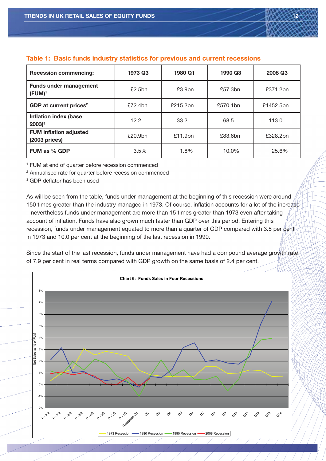

#### **Table 1: Basic funds industry statistics for previous and current recessions**

| <b>Recession commencing:</b>                        | 1973 Q3 | 1980 Q1  | 1990 Q3               | 2008 Q3  |
|-----------------------------------------------------|---------|----------|-----------------------|----------|
| <b>Funds under management</b><br>$(FUM)^1$          | £2.5bn  | £3.9bn   | £57.3bn               | £371.2bn |
| GDP at current prices <sup>2</sup>                  | £72.4bn | £215.2bn | £570.1bn<br>£1452.5bn |          |
| <b>Inflation index (base</b><br>$2003$ <sup>3</sup> | 12.2    | 33.2     | 68.5<br>113.0         |          |
| <b>FUM inflation adjusted</b><br>$(2003)$ prices)   | £20.9bn | £11.9bn  | £83.6bn<br>£328.2bn   |          |
| FUM as % GDP                                        | 3.5%    | 1.8%     | 10.0%                 | 25.6%    |

<sup>1</sup> FUM at end of quarter before recession commenced

<sup>2</sup> Annualised rate for quarter before recession commenced

<sup>3</sup> GDP deflator has been used

As will be seen from the table, funds under management at the beginning of this recession were around 150 times greater than the industry managed in 1973. Of course, inflation accounts for a lot of the increase – nevertheless funds under management are more than 15 times greater than 1973 even after taking account of inflation. Funds have also grown much faster than GDP over this period. Entering this recession, funds under management equated to more than a quarter of GDP compared with 3.5 per cent in 1973 and 10.0 per cent at the beginning of the last recession in 1990.

Since the start of the last recession, funds under management have had a compound average growth rate of 7.9 per cent in real terms compared with GDP growth on the same basis of 2.4 per cent.

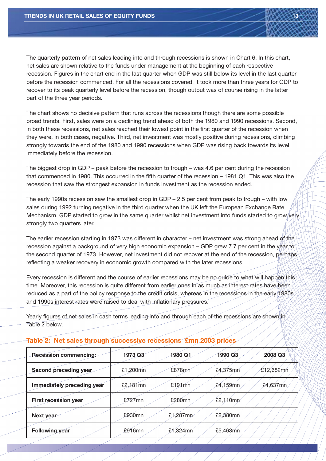The quarterly pattern of net sales leading into and through recessions is shown in Chart 6. In this chart, net sales are shown relative to the funds under management at the beginning of each respective recession. Figures in the chart end in the last quarter when GDP was still below its level in the last quarter before the recession commenced. For all the recessions covered, it took more than three years for GDP to recover to its peak quarterly level before the recession, though output was of course rising in the latter part of the three year periods.

The chart shows no decisive pattern that runs across the recessions though there are some possible broad trends. First, sales were on a declining trend ahead of both the 1980 and 1990 recessions. Second, in both these recessions, net sales reached their lowest point in the first quarter of the recession when they were, in both cases, negative. Third, net investment was mostly positive during recessions, climbing strongly towards the end of the 1980 and 1990 recessions when GDP was rising back towards its level immediately before the recession.

The biggest drop in GDP – peak before the recession to trough – was 4.6 per cent during the recession that commenced in 1980. This occurred in the fifth quarter of the recession – 1981 Q1. This was also the recession that saw the strongest expansion in funds investment as the recession ended.

The early 1990s recession saw the smallest drop in GDP – 2.5 per cent from peak to trough – with low sales during 1992 turning negative in the third quarter when the UK left the European Exchange Rate Mechanism. GDP started to grow in the same quarter whilst net investment into funds started to grow very strongly two quarters later.

The earlier recession starting in 1973 was different in character – net investment was strong ahead of the recession against a background of very high economic expansion – GDP grew 7.7 per cent in the year to the second quarter of 1973. However, net investment did not recover at the end of the recession, perhaps reflecting a weaker recovery in economic growth compared with the later recessions.

Every recession is different and the course of earlier recessions may be no guide to what will happen this time. Moreover, this recession is quite different from earlier ones in as much as interest rates have been reduced as a part of the policy response to the credit crisis, whereas in the recessions in the early 1980s and 1990s interest rates were raised to deal with inflationary pressures.

Yearly figures of net sales in cash terms leading into and through each of the recessions are shown in Table 2 below.

| <b>Recession commencing:</b> | 1973 Q3   | 1980 Q1     | 1990 Q3  | <b>2008 Q3</b> |
|------------------------------|-----------|-------------|----------|----------------|
| Second preceding year        | £1,200mn  | £878mn      | £4,375mn | £12,682mn      |
| Immediately preceding year   | £2,181mn  | £191mn      | £4,159mn | $£4,637$ mn    |
| <b>First recession year</b>  | £727mn    | £280mn      | £2,110mn |                |
| Next year                    | £930mn    | $£1,287$ mn | £2,380mn |                |
| <b>Following year</b>        | $£916$ mn | $£1,324$ mn | £5,463mn |                |

#### **Table 2: Net sales through successive recessions £mn 2003 prices**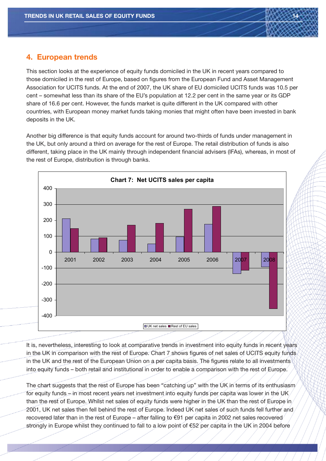

# **4. European trends**

This section looks at the experience of equity funds domiciled in the UK in recent years compared to those domiciled in the rest of Europe, based on figures from the European Fund and Asset Management Association for UCITS funds. At the end of 2007, the UK share of EU domiciled UCITS funds was 10.5 per cent – somewhat less than its share of the EU's population at 12.2 per cent in the same year or its GDP share of 16.6 per cent. However, the funds market is quite different in the UK compared with other countries, with European money market funds taking monies that might often have been invested in bank deposits in the UK.

Another big difference is that equity funds account for around two-thirds of funds under management in the UK, but only around a third on average for the rest of Europe. The retail distribution of funds is also different, taking place in the UK mainly through independent financial advisers (IFAs), whereas, in most of the rest of Europe, distribution is through banks.



It is, nevertheless, interesting to look at comparative trends in investment into equity funds in recent years in the UK in comparison with the rest of Europe. Chart 7 shows figures of net sales of UCITS equity funds in the UK and the rest of the European Union on a per capita basis. The figures relate to all investments into equity funds – both retail and institutional in order to enable a comparison with the rest of Europe.

The chart suggests that the rest of Europe has been "catching up" with the UK in terms of its enthusiasm for equity funds – in most recent years net investment into equity funds per capita was lower in the UK than the rest of Europe. Whilst net sales of equity funds were higher in the UK than the rest of Europe in 2001, UK net sales then fell behind the rest of Europe. Indeed UK net sales of such funds fell further and recovered later than in the rest of Europe – after falling to €91 per capita in 2002 net sales recovered strongly in Europe whilst they continued to fall to a low point of €52 per capita in the UK in 2004 before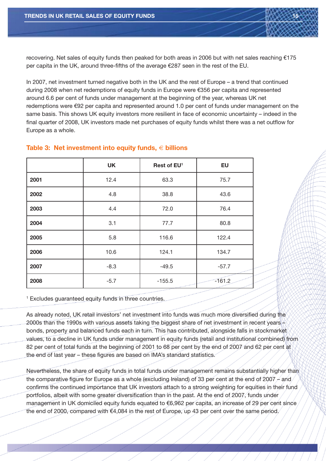recovering. Net sales of equity funds then peaked for both areas in 2006 but with net sales reaching  $£175$ per capita in the UK, around three-fifths of the average €287 seen in the rest of the EU.

In 2007, net investment turned negative both in the UK and the rest of Europe – a trend that continued during 2008 when net redemptions of equity funds in Europe were €356 per capita and represented around 6.6 per cent of funds under management at the beginning of the year, whereas UK net redemptions were €92 per capita and represented around 1.0 per cent of funds under management on the same basis. This shows UK equity investors more resilient in face of economic uncertainty – indeed in the final quarter of 2008, UK investors made net purchases of equity funds whilst there was a net outflow for Europe as a whole.

|      | <b>UK</b> | Rest of EU <sup>1</sup> | EU       |
|------|-----------|-------------------------|----------|
| 2001 | 12.4      | 63.3                    | 75.7     |
| 2002 | 4.8       | 38.8                    | 43.6     |
| 2003 | 4.4       | 72.0                    | 76.4     |
| 2004 | 3.1       | 77.7                    | 80.8     |
| 2005 | 5.8       | 116.6                   | 122.4    |
| 2006 | 10.6      | 124.1                   | 134.7    |
| 2007 | $-8.3$    | $-49.5$                 | $-57.7$  |
| 2008 | $-5.7$    | $-155.5$                | $-161.2$ |

#### **Table 3: Net investment into equity funds,** € **billions**

<sup>1</sup> Excludes quaranteed equity funds in three countries.

As already noted, UK retail investors' net investment into funds was much more diversified during the 2000s than the 1990s with various assets taking the biggest share of net investment in recent years – bonds, property and balanced funds each in turn. This has contributed, alongside falls in stockmarket values, to a decline in UK funds under management in equity funds (retail and institutional combined) from 82 per cent of total funds at the beginning of 2001 to 68 per cent by the end of 2007 and 62 per cent at the end of last year – these figures are based on IMA's standard statistics.

Nevertheless, the share of equity funds in total funds under management remains substantially higher than the comparative figure for Europe as a whole (excluding Ireland) of 33 per cent at the end of 2007  $\neq$  and  $\neq$ confirms the continued importance that UK investors attach to a strong weighting for equities in their fund portfolios, albeit with some greater diversification than in the past. At the end of 2007, funds under management in UK domiciled equity funds equated to €6,962 per capita, an increase of 29 per cent since the end of 2000, compared with €4,084 in the rest of Europe, up 43 per cent over the same period.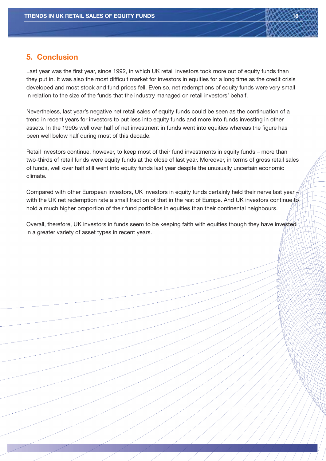

# **5. Conclusion**

Last year was the first year, since 1992, in which UK retail investors took more out of equity funds than they put in. It was also the most difficult market for investors in equities for a long time as the credit crisis developed and most stock and fund prices fell. Even so, net redemptions of equity funds were very small in relation to the size of the funds that the industry managed on retail investors' behalf.

Nevertheless, last year's negative net retail sales of equity funds could be seen as the continuation of a trend in recent years for investors to put less into equity funds and more into funds investing in other assets. In the 1990s well over half of net investment in funds went into equities whereas the figure has been well below half during most of this decade.

Retail investors continue, however, to keep most of their fund investments in equity funds – more than two-thirds of retail funds were equity funds at the close of last year. Moreover, in terms of gross retail sales of funds, well over half still went into equity funds last year despite the unusually uncertain economic climate.

Compared with other European investors, UK investors in equity funds certainly held their nerve last year  $\#$ with the UK net redemption rate a small fraction of that in the rest of Europe. And UK investors continue to hold a much higher proportion of their fund portfolios in equities than their continental neighbours.

Overall, therefore, UK investors in funds seem to be keeping faith with equities though they have invested in a greater variety of asset types in recent years.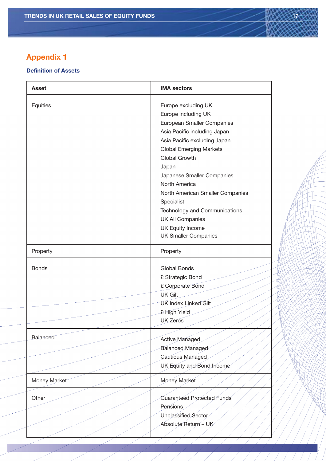# **Appendix 1**

#### **Definition of Assets**

| <b>Asset</b> | <b>IMA sectors</b>                                                                                                                                                                                                                                                                                                                                                                                                                 |  |
|--------------|------------------------------------------------------------------------------------------------------------------------------------------------------------------------------------------------------------------------------------------------------------------------------------------------------------------------------------------------------------------------------------------------------------------------------------|--|
| Equities     | Europe excluding UK<br>Europe including UK<br>European Smaller Companies<br>Asia Pacific including Japan<br>Asia Pacific excluding Japan<br><b>Global Emerging Markets</b><br><b>Global Growth</b><br>Japan<br>Japanese Smaller Companies<br>North America<br>North American Smaller Companies<br>Specialist<br>Technology and Communications<br><b>UK All Companies</b><br><b>UK Equity Income</b><br><b>UK Smaller Companies</b> |  |
| Property     | Property                                                                                                                                                                                                                                                                                                                                                                                                                           |  |
| <b>Bonds</b> | <b>Global Bonds</b><br>£ Strategic Bond<br>£ Corporate Bond<br><b>UK Gilt</b><br><b>UK Index Linked Gilt</b><br>£ High Yield                                                                                                                                                                                                                                                                                                       |  |
|              | <b>UK</b> Zeros                                                                                                                                                                                                                                                                                                                                                                                                                    |  |
| Balanced     | Active Managed<br><b>Balanced Managed</b>                                                                                                                                                                                                                                                                                                                                                                                          |  |
|              | Cautious Managed<br>UK Equity and Bond Income                                                                                                                                                                                                                                                                                                                                                                                      |  |
| Money Market | Money Market                                                                                                                                                                                                                                                                                                                                                                                                                       |  |
| Other        | Guaranteed Protected Funds<br>Pensions<br>Unclassified Sector<br>Absolute Return - UK                                                                                                                                                                                                                                                                                                                                              |  |
|              |                                                                                                                                                                                                                                                                                                                                                                                                                                    |  |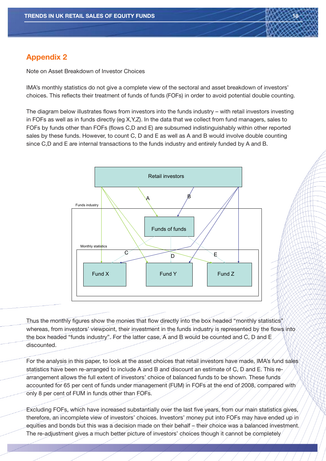

Note on Asset Breakdown of Investor Choices

IMA's monthly statistics do not give a complete view of the sectoral and asset breakdown of investors' choices. This reflects their treatment of funds of funds (FOFs) in order to avoid potential double counting.

The diagram below illustrates flows from investors into the funds industry – with retail investors investing in FOFs as well as in funds directly (eg X,Y,Z). In the data that we collect from fund managers, sales to FOFs by funds other than FOFs (flows C,D and E) are subsumed indistinguishably within other reported sales by these funds. However, to count C, D and E as well as A and B would involve double counting since C,D and E are internal transactions to the funds industry and entirely funded by A and B.



Thus the monthly figures show the monies that flow directly into the box headed "monthly statistics" whereas, from investors' viewpoint, their investment in the funds industry is represented by the flows into the box headed "funds industry". For the latter case, A and B would be counted and C, D and E discounted.

For the analysis in this paper, to look at the asset choices that retail investors have made, IMA's fund sales statistics have been re-arranged to include A and B and discount an estimate of C, D and E. This rearrangement allows the full extent of investors' choice of balanced funds to be shown. These funds accounted for 65 per cent of funds under management (FUM) in FOFs at the end of 2008, compared with only 8 per cent of FUM in funds other than FOFs.

Excluding FOFs, which have increased substantially over the last five years, from our main statistics gives, therefore, an incomplete view of investors' choices. Investors' money put into FOFs may have ended up in equities and bonds but this was a decision made on their behalf – their choice was a balanced investment. The re-adjustment gives a much better picture of investors' choices though it cannot be completely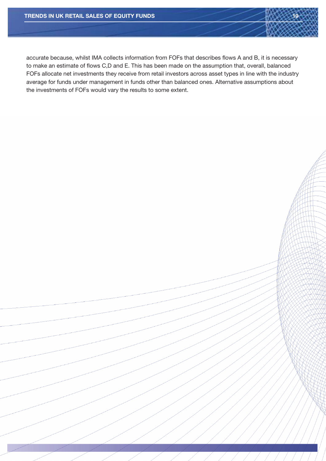accurate because, whilst IMA collects information from FOFs that describes flows A and B, it is necessary to make an estimate of flows C,D and E. This has been made on the assumption that, overall, balanced FOFs allocate net investments they receive from retail investors across asset types in line with the industry average for funds under management in funds other than balanced ones. Alternative assumptions about the investments of FOFs would vary the results to some extent.